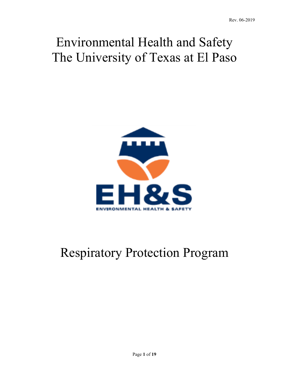# Environmental Health and Safety The University of Texas at El Paso



# Respiratory Protection Program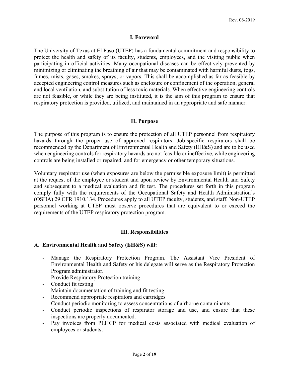#### **I. Foreword**

The University of Texas at El Paso (UTEP) has a fundamental commitment and responsibility to protect the health and safety of its faculty, students, employees, and the visiting public when participating in official activities. Many occupational diseases can be effectively prevented by minimizing or eliminating the breathing of air that may be contaminated with harmful dusts, fogs, fumes, mists, gases, smokes, sprays, or vapors. This shall be accomplished as far as feasible by accepted engineering control measures such as enclosure or confinement of the operation, general and local ventilation, and substitution of less toxic materials. When effective engineering controls are not feasible, or while they are being instituted, it is the aim of this program to ensure that respiratory protection is provided, utilized, and maintained in an appropriate and safe manner.

#### **II. Purpose**

The purpose of this program is to ensure the protection of all UTEP personnel from respiratory hazards through the proper use of approved respirators. Job-specific respirators shall be recommended by the Department of Environmental Health and Safety (EH&S) and are to be used when engineering controls for respiratory hazards are not feasible or ineffective, while engineering controls are being installed or repaired, and for emergency or other temporary situations.

Voluntary respirator use (when exposures are below the permissible exposure limit) is permitted at the request of the employee or student and upon review by Environmental Health and Safety and subsequent to a medical evaluation and fit test. The procedures set forth in this program comply fully with the requirements of the Occupational Safety and Health Administration's (OSHA) 29 CFR 1910.134. Procedures apply to all UTEP faculty, students, and staff. Non-UTEP personnel working at UTEP must observe procedures that are equivalent to or exceed the requirements of the UTEP respiratory protection program.

### **III. Responsibilities**

#### **A. Environmental Health and Safety (EH&S) will:**

- Manage the Respiratory Protection Program. The Assistant Vice President of Environmental Health and Safety or his delegate will serve as the Respiratory Protection Program administrator.
- Provide Respiratory Protection training
- Conduct fit testing
- Maintain documentation of training and fit testing
- Recommend appropriate respirators and cartridges
- Conduct periodic monitoring to assess concentrations of airborne contaminants
- Conduct periodic inspections of respirator storage and use, and ensure that these inspections are properly documented.
- Pay invoices from PLHCP for medical costs associated with medical evaluation of employees or students,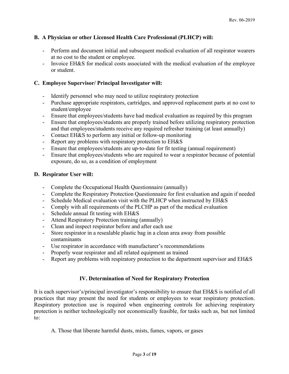### **B. A Physician or other Licensed Health Care Professional (PLHCP) will:**

- Perform and document initial and subsequent medical evaluation of all respirator wearers at no cost to the student or employee.
- Invoice EH&S for medical costs associated with the medical evaluation of the employee or student.

#### **C. Employee Supervisor/ Principal Investigator will:**

- Identify personnel who may need to utilize respiratory protection
- Purchase appropriate respirators, cartridges, and approved replacement parts at no cost to student/employee
- Ensure that employees/students have had medical evaluation as required by this program
- Ensure that employees/students are properly trained before utilizing respiratory protection and that employees/students receive any required refresher training (at least annually)
- Contact EH&S to perform any initial or follow-up monitoring
- Report any problems with respiratory protection to EH&S
- Ensure that employees/students are up-to-date for fit testing (annual requirement)
- Ensure that employees/students who are required to wear a respirator because of potential exposure, do so, as a condition of employment

#### **D. Respirator User will:**

- Complete the Occupational Health Questionnaire (annually)
- Complete the Respiratory Protection Questionnaire for first evaluation and again if needed
- Schedule Medical evaluation visit with the PLHCP when instructed by EH&S
- Comply with all requirements of the PLCHP as part of the medical evaluation
- Schedule annual fit testing with EH&S
- Attend Respiratory Protection training (annually)
- Clean and inspect respirator before and after each use
- Store respirator in a resealable plastic bag in a clean area away from possible contaminants
- Use respirator in accordance with manufacturer's recommendations
- Properly wear respirator and all related equipment as trained
- Report any problems with respiratory protection to the department supervisor and EH&S

### **IV. Determination of Need for Respiratory Protection**

It is each supervisor's/principal investigator's responsibility to ensure that EH&S is notified of all practices that may present the need for students or employees to wear respiratory protection. Respiratory protection use is required when engineering controls for achieving respiratory protection is neither technologically nor economically feasible, for tasks such as, but not limited to:

A. Those that liberate harmful dusts, mists, fumes, vapors, or gases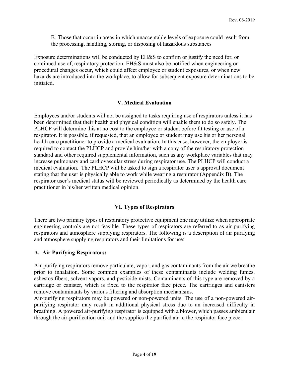B. Those that occur in areas in which unacceptable levels of exposure could result from the processing, handling, storing, or disposing of hazardous substances

Exposure determinations will be conducted by EH&S to confirm or justify the need for, or continued use of, respiratory protection. EH&S must also be notified when engineering or procedural changes occur, which could affect employee or student exposures, or when new hazards are introduced into the workplace, to allow for subsequent exposure determinations to be initiated.

### **V. Medical Evaluation**

Employees and/or students will not be assigned to tasks requiring use of respirators unless it has been determined that their health and physical condition will enable them to do so safely. The PLHCP will determine this at no cost to the employee or student before fit testing or use of a respirator. It is possible, if requested, that an employee or student may use his or her personal health care practitioner to provide a medical evaluation. In this case, however, the employer is required to contact the PLHCP and provide him/her with a copy of the respiratory protection standard and other required supplemental information, such as any workplace variables that may increase pulmonary and cardiovascular stress during respirator use. The PLHCP will conduct a medical evaluation. The PLHCP will be asked to sign a respirator user's approval document stating that the user is physically able to work while wearing a respirator (Appendix B). The respirator user's medical status will be reviewed periodically as determined by the health care practitioner in his/her written medical opinion.

### **VI. Types of Respirators**

There are two primary types of respiratory protective equipment one may utilize when appropriate engineering controls are not feasible. These types of respirators are referred to as air-purifying respirators and atmosphere supplying respirators. The following is a description of air purifying and atmosphere supplying respirators and their limitations for use:

#### **A. Air Purifying Respirators:**

Air-purifying respirators remove particulate, vapor, and gas contaminants from the air we breathe prior to inhalation. Some common examples of these contaminants include welding fumes, asbestos fibers, solvent vapors, and pesticide mists. Contaminants of this type are removed by a cartridge or canister, which is fixed to the respirator face piece. The cartridges and canisters remove contaminants by various filtering and absorption mechanisms.

Air-purifying respirators may be powered or non-powered units. The use of a non-powered airpurifying respirator may result in additional physical stress due to an increased difficulty in breathing. A powered air-purifying respirator is equipped with a blower, which passes ambient air through the air-purification unit and the supplies the purified air to the respirator face piece.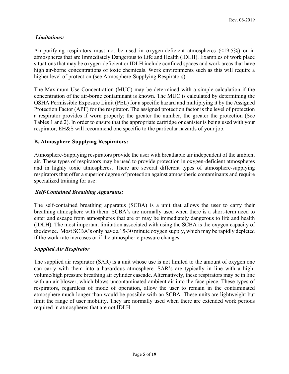## *Limitations:*

Air-purifying respirators must not be used in oxygen-deficient atmospheres (<19.5%) or in atmospheres that are Immediately Dangerous to Life and Health (IDLH). Examples of work place situations that may be oxygen-deficient or IDLH include confined spaces and work areas that have high air-borne concentrations of toxic chemicals. Work environments such as this will require a higher level of protection (see Atmosphere-Supplying Respirators).

The Maximum Use Concentration (MUC) may be determined with a simple calculation if the concentration of the air-borne contaminant is known. The MUC is calculated by determining the OSHA Permissible Exposure Limit (PEL) for a specific hazard and multiplying it by the Assigned Protection Factor (APF) for the respirator. The assigned protection factor is the level of protection a respirator provides if worn properly; the greater the number, the greater the protection (See Tables 1 and 2). In order to ensure that the appropriate cartridge or canister is being used with your respirator, EH&S will recommend one specific to the particular hazards of your job.

### **B. Atmosphere-Supplying Respirators:**

Atmosphere-Supplying respirators provide the user with breathable air independent of the ambient air. These types of respirators may be used to provide protection in oxygen-deficient atmospheres and in highly toxic atmospheres. There are several different types of atmosphere-supplying respirators that offer a superior degree of protection against atmospheric contaminants and require specialized training for use:

### *Self-Contained Breathing Apparatus:*

The self-contained breathing apparatus (SCBA) is a unit that allows the user to carry their breathing atmosphere with them. SCBA's are normally used when there is a short-term need to enter and escape from atmospheres that are or may be immediately dangerous to life and health (IDLH). The most important limitation associated with using the SCBA is the oxygen capacity of the device. Most SCBA's only have a 15-30 minute oxygen supply, which may be rapidly depleted if the work rate increases or if the atmospheric pressure changes.

### *Supplied Air Respirator*

The supplied air respirator (SAR) is a unit whose use is not limited to the amount of oxygen one can carry with them into a hazardous atmosphere. SAR's are typically in line with a highvolume/high pressure breathing air cylinder cascade. Alternatively, these respirators may be in line with an air blower, which blows uncontaminated ambient air into the face piece. These types of respirators, regardless of mode of operation, allow the user to remain in the contaminated atmosphere much longer than would be possible with an SCBA. These units are lightweight but limit the range of user mobility. They are normally used when there are extended work periods required in atmospheres that are not IDLH.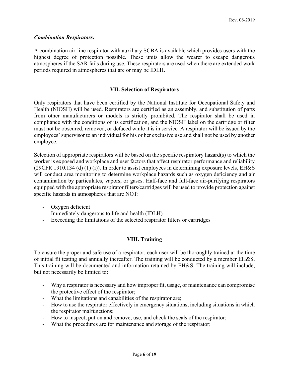#### *Combination Respirators:*

A combination air-line respirator with auxiliary SCBA is available which provides users with the highest degree of protection possible. These units allow the wearer to escape dangerous atmospheres if the SAR fails during use. These respirators are used when there are extended work periods required in atmospheres that are or may be IDLH.

#### **VII. Selection of Respirators**

Only respirators that have been certified by the National Institute for Occupational Safety and Health (NIOSH) will be used. Respirators are certified as an assembly, and substitution of parts from other manufacturers or models is strictly prohibited. The respirator shall be used in compliance with the conditions of its certification, and the NIOSH label on the cartridge or filter must not be obscured, removed, or defaced while it is in service. A respirator will be issued by the employees' supervisor to an individual for his or her exclusive use and shall not be used by another employee.

Selection of appropriate respirators will be based on the specific respiratory hazard(s) to which the worker is exposed and workplace and user factors that affect respirator performance and reliability (29CFR 1910.134 (d) (1) (i)). In order to assist employees in determining exposure levels, EH&S will conduct area monitoring to determine workplace hazards such as oxygen deficiency and air contamination by particulates, vapors, or gases. Half-face and full-face air-purifying respirators equipped with the appropriate respirator filters/cartridges will be used to provide protection against specific hazards in atmospheres that are NOT:

- Oxygen deficient
- Immediately dangerous to life and health (IDLH)
- Exceeding the limitations of the selected respirator filters or cartridges

### **VIII. Training**

To ensure the proper and safe use of a respirator, each user will be thoroughly trained at the time of initial fit testing and annually thereafter. The training will be conducted by a member EH&S. This training will be documented and information retained by EH&S. The training will include, but not necessarily be limited to:

- Why a respirator is necessary and how improper fit, usage, or maintenance can compromise the protective effect of the respirator;
- What the limitations and capabilities of the respirator are;
- How to use the respirator effectively in emergency situations, including situations in which the respirator malfunctions;
- How to inspect, put on and remove, use, and check the seals of the respirator;
- What the procedures are for maintenance and storage of the respirator;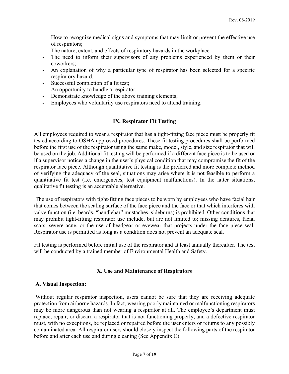- How to recognize medical signs and symptoms that may limit or prevent the effective use of respirators;
- The nature, extent, and effects of respiratory hazards in the workplace
- The need to inform their supervisors of any problems experienced by them or their coworkers;
- An explanation of why a particular type of respirator has been selected for a specific respiratory hazard;
- Successful completion of a fit test;
- An opportunity to handle a respirator;
- Demonstrate knowledge of the above training elements;
- Employees who voluntarily use respirators need to attend training.

#### **IX. Respirator Fit Testing**

All employees required to wear a respirator that has a tight-fitting face piece must be properly fit tested according to OSHA approved procedures. These fit testing procedures shall be performed before the first use of the respirator using the same make, model, style, and size respirator that will be used on the job. Additional fit testing will be performed if a different face piece is to be used or if a supervisor notices a change in the user's physical condition that may compromise the fit of the respirator face piece. Although quantitative fit testing is the preferred and more complete method of verifying the adequacy of the seal, situations may arise where it is not feasible to perform a quantitative fit test (i.e. emergencies, test equipment malfunctions). In the latter situations, qualitative fit testing is an acceptable alternative.

The use of respirators with tight-fitting face pieces to be worn by employees who have facial hair that comes between the sealing surface of the face piece and the face or that which interferes with valve function (i.e. beards, "handlebar" mustaches, sideburns) is prohibited. Other conditions that may prohibit tight-fitting respirator use include, but are not limited to; missing dentures, facial scars, severe acne, or the use of headgear or eyewear that projects under the face piece seal. Respirator use is permitted as long as a condition does not prevent an adequate seal.

Fit testing is performed before initial use of the respirator and at least annually thereafter. The test will be conducted by a trained member of Environmental Health and Safety.

#### **X. Use and Maintenance of Respirators**

#### **A. Visual Inspection:**

Without regular respirator inspection, users cannot be sure that they are receiving adequate protection from airborne hazards. In fact, wearing poorly maintained or malfunctioning respirators may be more dangerous than not wearing a respirator at all. The employee's department must replace, repair, or discard a respirator that is not functioning properly, and a defective respirator must, with no exceptions, be replaced or repaired before the user enters or returns to any possibly contaminated area. All respirator users should closely inspect the following parts of the respirator before and after each use and during cleaning (See Appendix C):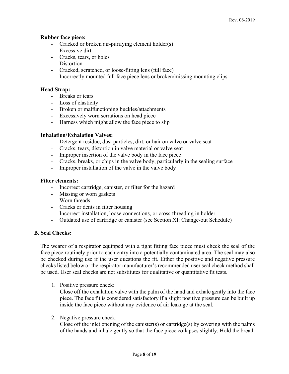#### **Rubber face piece:**

- Cracked or broken air-purifying element holder(s)
- Excessive dirt
- Cracks, tears, or holes
- Distortion
- Cracked, scratched, or loose-fitting lens (full face)
- Incorrectly mounted full face piece lens or broken/missing mounting clips

#### **Head Strap:**

- Breaks or tears
- Loss of elasticity
- Broken or malfunctioning buckles/attachments
- Excessively worn serrations on head piece
- Harness which might allow the face piece to slip

#### **Inhalation/Exhalation Valves:**

- Detergent residue, dust particles, dirt, or hair on valve or valve seat
- Cracks, tears, distortion in valve material or valve seat
- Improper insertion of the valve body in the face piece
- Cracks, breaks, or chips in the valve body, particularly in the sealing surface
- Improper installation of the valve in the valve body

#### **Filter elements:**

- Incorrect cartridge, canister, or filter for the hazard
- Missing or worn gaskets
- Worn threads
- Cracks or dents in filter housing
- Incorrect installation, loose connections, or cross-threading in holder
- Outdated use of cartridge or canister (see Section XI: Change-out Schedule)

#### **B. Seal Checks:**

The wearer of a respirator equipped with a tight fitting face piece must check the seal of the face piece routinely prior to each entry into a potentially contaminated area. The seal may also be checked during use if the user questions the fit. Either the positive and negative pressure checks listed below or the respirator manufacturer's recommended user seal check method shall be used. User seal checks are not substitutes for qualitative or quantitative fit tests.

1. Positive pressure check:

Close off the exhalation valve with the palm of the hand and exhale gently into the face piece. The face fit is considered satisfactory if a slight positive pressure can be built up inside the face piece without any evidence of air leakage at the seal.

2. Negative pressure check:

Close off the inlet opening of the canister(s) or cartridge(s) by covering with the palms of the hands and inhale gently so that the face piece collapses slightly. Hold the breath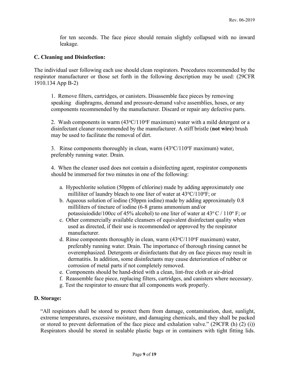for ten seconds. The face piece should remain slightly collapsed with no inward leakage.

#### **C. Cleaning and Disinfection:**

The individual user following each use should clean respirators. Procedures recommended by the respirator manufacturer or those set forth in the following description may be used: (29CFR 1910.134 App B-2)

1. Remove filters, cartridges, or canisters. Disassemble face pieces by removing speaking diaphragms, demand and pressure-demand valve assemblies, hoses, or any components recommended by the manufacturer. Discard or repair any defective parts.

2. Wash components in warm  $(43^{\circ}C/110^{\circ}F$  maximum) water with a mild detergent or a disinfectant cleaner recommended by the manufacturer. A stiff bristle (**not wire**) brush may be used to facilitate the removal of dirt.

3. Rinse components thoroughly in clean, warm  $(43^{\circ}C/110^{\circ}F$  maximum) water, preferably running water. Drain.

4. When the cleaner used does not contain a disinfecting agent, respirator components should be immersed for two minutes in one of the following:

- a. Hypochlorite solution (50ppm of chlorine) made by adding approximately one milliliter of laundry bleach to one liter of water at  $43\degree\text{C}/110\degree\text{F}$ ; or
- b. Aqueous solution of iodine (50ppm iodine) made by adding approximately 0.8 milliliters of tincture of iodine (6-8 grams ammonium and/or potassiuiodide/100cc of 45% alcohol) to one liter of water at  $43^{\circ}$  C / 110° F; or
- c. Other commercially available cleansers of equivalent disinfectant quality when used as directed, if their use is recommended or approved by the respirator manufacturer.
- d. Rinse components thoroughly in clean, warm  $(43^{\circ}C/110^{\circ}F \text{ maximum})$  water, preferably running water. Drain. The importance of thorough rinsing cannot be overemphasized. Detergents or disinfectants that dry on face pieces may result in dermatitis. In addition, some disinfectants may cause deterioration of rubber or corrosion of metal parts if not completely removed.
- e. Components should be hand-dried with a clean, lint-free cloth or air-dried
- f. Reassemble face piece, replacing filters, cartridges, and canisters where necessary.
- g. Test the respirator to ensure that all components work properly.

#### **D. Storage:**

"All respirators shall be stored to protect them from damage, contamination, dust, sunlight, extreme temperatures, excessive moisture, and damaging chemicals, and they shall be packed or stored to prevent deformation of the face piece and exhalation valve." (29CFR (h) (2) (i)) Respirators should be stored in sealable plastic bags or in containers with tight fitting lids.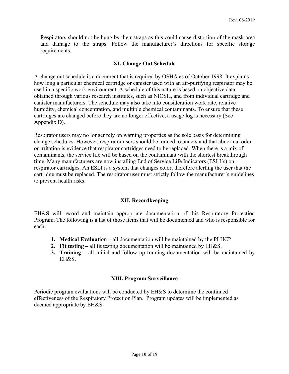Respirators should not be hung by their straps as this could cause distortion of the mask area and damage to the straps. Follow the manufacturer's directions for specific storage requirements.

#### **XI. Change-Out Schedule**

A change out schedule is a document that is required by OSHA as of October 1998. It explains how long a particular chemical cartridge or canister used with an air-purifying respirator may be used in a specific work environment. A schedule of this nature is based on objective data obtained through various research institutes, such as NIOSH, and from individual cartridge and canister manufacturers. The schedule may also take into consideration work rate, relative humidity, chemical concentration, and multiple chemical contaminants. To ensure that these cartridges are changed before they are no longer effective, a usage log is necessary (See Appendix D).

Respirator users may no longer rely on warning properties as the sole basis for determining change schedules. However, respirator users should be trained to understand that abnormal odor or irritation is evidence that respirator cartridges need to be replaced. When there is a mix of contaminants, the service life will be based on the contaminant with the shortest breakthrough time. Many manufacturers are now installing End of Service Life Indicators (ESLI's) on respirator cartridges. An ESLI is a system that changes color, therefore alerting the user that the cartridge must be replaced. The respirator user must strictly follow the manufacturer's guidelines to prevent health risks.

### **XII. Recordkeeping**

EH&S will record and maintain appropriate documentation of this Respiratory Protection Program. The following is a list of those items that will be documented and who is responsible for each:

- **1. Medical Evaluation –** all documentation will be maintained by the PLHCP.
- **2. Fit testing –** all fit testing documentation will be maintained by EH&S.
- **3. Training –** all initial and follow up training documentation will be maintained by EH&S.

#### **XIII. Program Surveillance**

Periodic program evaluations will be conducted by EH&S to determine the continued effectiveness of the Respiratory Protection Plan. Program updates will be implemented as deemed appropriate by EH&S.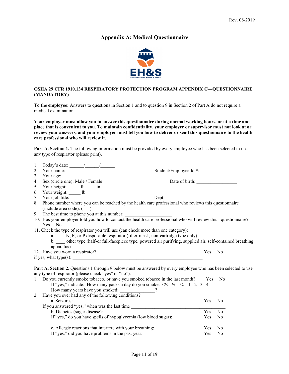#### **Appendix A: Medical Questionnaire**



#### **OSHA 29 CFR 1910.134 RESPIRATORY PROTECTION PROGRAM APPENDIX C—QUESTIONNAIRE (MANDATORY)**

**To the employee:** Answers to questions in Section 1 and to question 9 in Section 2 of Part A do not require a medical examination.

**Your employer must allow you to answer this questionnaire during normal working hours, or at a time and place that is convenient to you. To maintain confidentiality, your employer or supervisor must not look at or review your answers, and your employer must tell you how to deliver or send this questionnaire to the health care professional who will review it.**

**Part A. Section 1.** The following information must be provided by every employee who has been selected to use any type of respirator (please print).

| 1. Today's date: $\frac{1}{\sqrt{2\pi}}$                                          |                                                                                                                          |     |
|-----------------------------------------------------------------------------------|--------------------------------------------------------------------------------------------------------------------------|-----|
| 2. Your name: $\frac{1}{2}$                                                       | Student/Employee Id $#$ :                                                                                                |     |
| 3. Your age:                                                                      |                                                                                                                          |     |
| 4. Sex (circle one): Male / Female                                                | Date of birth:                                                                                                           |     |
| 5. Your height: ft. _____ in.                                                     |                                                                                                                          |     |
| 6. Your weight: lb.                                                               |                                                                                                                          |     |
|                                                                                   |                                                                                                                          |     |
|                                                                                   | 8. Phone number where you can be reached by the health care professional who reviews this questionnaire                  |     |
| (include area code): ( )                                                          |                                                                                                                          |     |
| 9. The best time to phone you at this number:                                     |                                                                                                                          |     |
|                                                                                   | 10. Has your employer told you how to contact the health care professional who will review this questionnaire?           |     |
| Yes No                                                                            |                                                                                                                          |     |
| 11. Check the type of respirator you will use (can check more than one category): |                                                                                                                          |     |
| a. N, R, or P disposable respirator (filter-mask, non-cartridge type only)        |                                                                                                                          |     |
|                                                                                   | b. other type (half-or full-facepiece type, powered air purifying, supplied air, self-contained breathing                |     |
| apparatus)                                                                        |                                                                                                                          |     |
| 12. Have you worn a respirator?                                                   | <b>Yes</b>                                                                                                               | No. |
| if yes, what type(s): $\qquad \qquad$                                             |                                                                                                                          |     |
|                                                                                   |                                                                                                                          |     |
|                                                                                   | Part A. Section 2. Questions 1 through 9 below must be answered by every employee who has been selected to use           |     |
| any type of respirator (please check "yes" or "no").                              |                                                                                                                          |     |
|                                                                                   | 1. Do you currently smoke tobacco, or have you smoked tobacco in the last month? Yes No                                  |     |
|                                                                                   | If "yes," indicate: How many packs a day do you smoke: $\langle \frac{1}{4} \ \frac{1}{2} \ \frac{3}{4} \ 1 \ 2 \ 3 \ 4$ |     |
| How many years have you smoked:                                                   |                                                                                                                          |     |

2. Have you ever had any of the following conditions?

If you answered "yes," when was the last time

a. Seizures: Yes No

b. Diabetes (sugar disease): Yes No If "yes," do you have spells of hypoglycemia (low blood sugar): Yes No

c. Allergic reactions that interfere with your breathing: Yes No If "yes," did you have problems in the past year: Yes No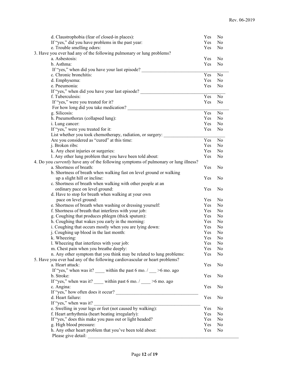| d. Claustrophobia (fear of closed-in places):<br>If "yes," did you have problems in the past year:<br>Yes<br>No<br>e. Trouble smelling odors:<br>N <sub>o</sub><br>Yes<br>3. Have you ever had any of the following pulmonary or lung problems?<br>a. Asbestosis:<br>Yes<br>No<br>b. Asthma:<br>Yes<br>No<br>If "yes," when did you have your last episode?<br>c. Chronic bronchitis:<br>Yes<br>N <sub>0</sub><br>d. Emphysema:<br>Yes<br>No<br>e. Pneumonia:<br>Yes<br>No<br>If "yes," when did you have your last episode?<br>f. Tuberculosis:<br>Yes<br>N <sub>0</sub><br>If "yes," were you treated for it?<br>Yes<br>No<br>Yes<br>N <sub>o</sub><br>g. Silicosis:<br>h. Pneumothorax (collapsed lung):<br>Yes<br>No<br>i. Lung cancer:<br>Yes<br>N <sub>0</sub><br>If "yes," were you treated for it:<br>Yes<br>N <sub>0</sub><br>List whether you took chemotherapy, radiation, or surgery:<br>Are you considered as "cured" at this time:<br>Yes<br>No<br>j. Broken ribs:<br>Yes<br>No<br>k. Any chest injuries or surgeries:<br>Yes<br>No<br>l. Any other lung problem that you have been told about:<br>Yes<br>N <sub>0</sub><br>4. Do you <i>currently</i> have any of the following symptoms of pulmonary or lung illness?<br>a. Shortness of breath:<br>Yes<br>N <sub>0</sub><br>b. Shortness of breath when walking fast on level ground or walking<br>up a slight hill or incline:<br>N <sub>0</sub><br>Yes<br>c. Shortness of breath when walking with other people at an<br>ordinary pace on level ground:<br>No<br>Yes<br>d. Have to stop for breath when walking at your own<br>pace on level ground:<br>No<br>Yes<br>e. Shortness of breath when washing or dressing yourself:<br>Yes<br>No<br>f. Shortness of breath that interferes with your job:<br>Yes<br>No<br>g. Coughing that produces phlegm (thick sputum):<br>Yes<br>N <sub>0</sub><br>h. Coughing that wakes you early in the morning:<br>Yes<br>N <sub>0</sub><br>i. Coughing that occurs mostly when you are lying down:<br>Yes<br>No<br>j. Coughing up blood in the last month:<br>Yes<br>No<br>k. Wheezing:<br>Yes<br>No<br>l. Wheezing that interferes with your job:<br>Yes<br>N <sub>0</sub><br>m. Chest pain when you breathe deeply:<br>Yes<br>No<br>n. Any other symptom that you think may be related to lung problems:<br>Yes<br>No |
|--------------------------------------------------------------------------------------------------------------------------------------------------------------------------------------------------------------------------------------------------------------------------------------------------------------------------------------------------------------------------------------------------------------------------------------------------------------------------------------------------------------------------------------------------------------------------------------------------------------------------------------------------------------------------------------------------------------------------------------------------------------------------------------------------------------------------------------------------------------------------------------------------------------------------------------------------------------------------------------------------------------------------------------------------------------------------------------------------------------------------------------------------------------------------------------------------------------------------------------------------------------------------------------------------------------------------------------------------------------------------------------------------------------------------------------------------------------------------------------------------------------------------------------------------------------------------------------------------------------------------------------------------------------------------------------------------------------------------------------------------------------------------------------------------------------------------------------------------------------------------------------------------------------------------------------------------------------------------------------------------------------------------------------------------------------------------------------------------------------------------------------------------------------------------------------------------------------------------------------------------------------------------------------------------------------------------------|
|                                                                                                                                                                                                                                                                                                                                                                                                                                                                                                                                                                                                                                                                                                                                                                                                                                                                                                                                                                                                                                                                                                                                                                                                                                                                                                                                                                                                                                                                                                                                                                                                                                                                                                                                                                                                                                                                                                                                                                                                                                                                                                                                                                                                                                                                                                                                |
|                                                                                                                                                                                                                                                                                                                                                                                                                                                                                                                                                                                                                                                                                                                                                                                                                                                                                                                                                                                                                                                                                                                                                                                                                                                                                                                                                                                                                                                                                                                                                                                                                                                                                                                                                                                                                                                                                                                                                                                                                                                                                                                                                                                                                                                                                                                                |
|                                                                                                                                                                                                                                                                                                                                                                                                                                                                                                                                                                                                                                                                                                                                                                                                                                                                                                                                                                                                                                                                                                                                                                                                                                                                                                                                                                                                                                                                                                                                                                                                                                                                                                                                                                                                                                                                                                                                                                                                                                                                                                                                                                                                                                                                                                                                |
|                                                                                                                                                                                                                                                                                                                                                                                                                                                                                                                                                                                                                                                                                                                                                                                                                                                                                                                                                                                                                                                                                                                                                                                                                                                                                                                                                                                                                                                                                                                                                                                                                                                                                                                                                                                                                                                                                                                                                                                                                                                                                                                                                                                                                                                                                                                                |
|                                                                                                                                                                                                                                                                                                                                                                                                                                                                                                                                                                                                                                                                                                                                                                                                                                                                                                                                                                                                                                                                                                                                                                                                                                                                                                                                                                                                                                                                                                                                                                                                                                                                                                                                                                                                                                                                                                                                                                                                                                                                                                                                                                                                                                                                                                                                |
|                                                                                                                                                                                                                                                                                                                                                                                                                                                                                                                                                                                                                                                                                                                                                                                                                                                                                                                                                                                                                                                                                                                                                                                                                                                                                                                                                                                                                                                                                                                                                                                                                                                                                                                                                                                                                                                                                                                                                                                                                                                                                                                                                                                                                                                                                                                                |
|                                                                                                                                                                                                                                                                                                                                                                                                                                                                                                                                                                                                                                                                                                                                                                                                                                                                                                                                                                                                                                                                                                                                                                                                                                                                                                                                                                                                                                                                                                                                                                                                                                                                                                                                                                                                                                                                                                                                                                                                                                                                                                                                                                                                                                                                                                                                |
|                                                                                                                                                                                                                                                                                                                                                                                                                                                                                                                                                                                                                                                                                                                                                                                                                                                                                                                                                                                                                                                                                                                                                                                                                                                                                                                                                                                                                                                                                                                                                                                                                                                                                                                                                                                                                                                                                                                                                                                                                                                                                                                                                                                                                                                                                                                                |
|                                                                                                                                                                                                                                                                                                                                                                                                                                                                                                                                                                                                                                                                                                                                                                                                                                                                                                                                                                                                                                                                                                                                                                                                                                                                                                                                                                                                                                                                                                                                                                                                                                                                                                                                                                                                                                                                                                                                                                                                                                                                                                                                                                                                                                                                                                                                |
|                                                                                                                                                                                                                                                                                                                                                                                                                                                                                                                                                                                                                                                                                                                                                                                                                                                                                                                                                                                                                                                                                                                                                                                                                                                                                                                                                                                                                                                                                                                                                                                                                                                                                                                                                                                                                                                                                                                                                                                                                                                                                                                                                                                                                                                                                                                                |
|                                                                                                                                                                                                                                                                                                                                                                                                                                                                                                                                                                                                                                                                                                                                                                                                                                                                                                                                                                                                                                                                                                                                                                                                                                                                                                                                                                                                                                                                                                                                                                                                                                                                                                                                                                                                                                                                                                                                                                                                                                                                                                                                                                                                                                                                                                                                |
|                                                                                                                                                                                                                                                                                                                                                                                                                                                                                                                                                                                                                                                                                                                                                                                                                                                                                                                                                                                                                                                                                                                                                                                                                                                                                                                                                                                                                                                                                                                                                                                                                                                                                                                                                                                                                                                                                                                                                                                                                                                                                                                                                                                                                                                                                                                                |
|                                                                                                                                                                                                                                                                                                                                                                                                                                                                                                                                                                                                                                                                                                                                                                                                                                                                                                                                                                                                                                                                                                                                                                                                                                                                                                                                                                                                                                                                                                                                                                                                                                                                                                                                                                                                                                                                                                                                                                                                                                                                                                                                                                                                                                                                                                                                |
|                                                                                                                                                                                                                                                                                                                                                                                                                                                                                                                                                                                                                                                                                                                                                                                                                                                                                                                                                                                                                                                                                                                                                                                                                                                                                                                                                                                                                                                                                                                                                                                                                                                                                                                                                                                                                                                                                                                                                                                                                                                                                                                                                                                                                                                                                                                                |
|                                                                                                                                                                                                                                                                                                                                                                                                                                                                                                                                                                                                                                                                                                                                                                                                                                                                                                                                                                                                                                                                                                                                                                                                                                                                                                                                                                                                                                                                                                                                                                                                                                                                                                                                                                                                                                                                                                                                                                                                                                                                                                                                                                                                                                                                                                                                |
|                                                                                                                                                                                                                                                                                                                                                                                                                                                                                                                                                                                                                                                                                                                                                                                                                                                                                                                                                                                                                                                                                                                                                                                                                                                                                                                                                                                                                                                                                                                                                                                                                                                                                                                                                                                                                                                                                                                                                                                                                                                                                                                                                                                                                                                                                                                                |
|                                                                                                                                                                                                                                                                                                                                                                                                                                                                                                                                                                                                                                                                                                                                                                                                                                                                                                                                                                                                                                                                                                                                                                                                                                                                                                                                                                                                                                                                                                                                                                                                                                                                                                                                                                                                                                                                                                                                                                                                                                                                                                                                                                                                                                                                                                                                |
|                                                                                                                                                                                                                                                                                                                                                                                                                                                                                                                                                                                                                                                                                                                                                                                                                                                                                                                                                                                                                                                                                                                                                                                                                                                                                                                                                                                                                                                                                                                                                                                                                                                                                                                                                                                                                                                                                                                                                                                                                                                                                                                                                                                                                                                                                                                                |
|                                                                                                                                                                                                                                                                                                                                                                                                                                                                                                                                                                                                                                                                                                                                                                                                                                                                                                                                                                                                                                                                                                                                                                                                                                                                                                                                                                                                                                                                                                                                                                                                                                                                                                                                                                                                                                                                                                                                                                                                                                                                                                                                                                                                                                                                                                                                |
|                                                                                                                                                                                                                                                                                                                                                                                                                                                                                                                                                                                                                                                                                                                                                                                                                                                                                                                                                                                                                                                                                                                                                                                                                                                                                                                                                                                                                                                                                                                                                                                                                                                                                                                                                                                                                                                                                                                                                                                                                                                                                                                                                                                                                                                                                                                                |
|                                                                                                                                                                                                                                                                                                                                                                                                                                                                                                                                                                                                                                                                                                                                                                                                                                                                                                                                                                                                                                                                                                                                                                                                                                                                                                                                                                                                                                                                                                                                                                                                                                                                                                                                                                                                                                                                                                                                                                                                                                                                                                                                                                                                                                                                                                                                |
|                                                                                                                                                                                                                                                                                                                                                                                                                                                                                                                                                                                                                                                                                                                                                                                                                                                                                                                                                                                                                                                                                                                                                                                                                                                                                                                                                                                                                                                                                                                                                                                                                                                                                                                                                                                                                                                                                                                                                                                                                                                                                                                                                                                                                                                                                                                                |
|                                                                                                                                                                                                                                                                                                                                                                                                                                                                                                                                                                                                                                                                                                                                                                                                                                                                                                                                                                                                                                                                                                                                                                                                                                                                                                                                                                                                                                                                                                                                                                                                                                                                                                                                                                                                                                                                                                                                                                                                                                                                                                                                                                                                                                                                                                                                |
|                                                                                                                                                                                                                                                                                                                                                                                                                                                                                                                                                                                                                                                                                                                                                                                                                                                                                                                                                                                                                                                                                                                                                                                                                                                                                                                                                                                                                                                                                                                                                                                                                                                                                                                                                                                                                                                                                                                                                                                                                                                                                                                                                                                                                                                                                                                                |
|                                                                                                                                                                                                                                                                                                                                                                                                                                                                                                                                                                                                                                                                                                                                                                                                                                                                                                                                                                                                                                                                                                                                                                                                                                                                                                                                                                                                                                                                                                                                                                                                                                                                                                                                                                                                                                                                                                                                                                                                                                                                                                                                                                                                                                                                                                                                |
|                                                                                                                                                                                                                                                                                                                                                                                                                                                                                                                                                                                                                                                                                                                                                                                                                                                                                                                                                                                                                                                                                                                                                                                                                                                                                                                                                                                                                                                                                                                                                                                                                                                                                                                                                                                                                                                                                                                                                                                                                                                                                                                                                                                                                                                                                                                                |
|                                                                                                                                                                                                                                                                                                                                                                                                                                                                                                                                                                                                                                                                                                                                                                                                                                                                                                                                                                                                                                                                                                                                                                                                                                                                                                                                                                                                                                                                                                                                                                                                                                                                                                                                                                                                                                                                                                                                                                                                                                                                                                                                                                                                                                                                                                                                |
|                                                                                                                                                                                                                                                                                                                                                                                                                                                                                                                                                                                                                                                                                                                                                                                                                                                                                                                                                                                                                                                                                                                                                                                                                                                                                                                                                                                                                                                                                                                                                                                                                                                                                                                                                                                                                                                                                                                                                                                                                                                                                                                                                                                                                                                                                                                                |
|                                                                                                                                                                                                                                                                                                                                                                                                                                                                                                                                                                                                                                                                                                                                                                                                                                                                                                                                                                                                                                                                                                                                                                                                                                                                                                                                                                                                                                                                                                                                                                                                                                                                                                                                                                                                                                                                                                                                                                                                                                                                                                                                                                                                                                                                                                                                |
|                                                                                                                                                                                                                                                                                                                                                                                                                                                                                                                                                                                                                                                                                                                                                                                                                                                                                                                                                                                                                                                                                                                                                                                                                                                                                                                                                                                                                                                                                                                                                                                                                                                                                                                                                                                                                                                                                                                                                                                                                                                                                                                                                                                                                                                                                                                                |
|                                                                                                                                                                                                                                                                                                                                                                                                                                                                                                                                                                                                                                                                                                                                                                                                                                                                                                                                                                                                                                                                                                                                                                                                                                                                                                                                                                                                                                                                                                                                                                                                                                                                                                                                                                                                                                                                                                                                                                                                                                                                                                                                                                                                                                                                                                                                |
|                                                                                                                                                                                                                                                                                                                                                                                                                                                                                                                                                                                                                                                                                                                                                                                                                                                                                                                                                                                                                                                                                                                                                                                                                                                                                                                                                                                                                                                                                                                                                                                                                                                                                                                                                                                                                                                                                                                                                                                                                                                                                                                                                                                                                                                                                                                                |
|                                                                                                                                                                                                                                                                                                                                                                                                                                                                                                                                                                                                                                                                                                                                                                                                                                                                                                                                                                                                                                                                                                                                                                                                                                                                                                                                                                                                                                                                                                                                                                                                                                                                                                                                                                                                                                                                                                                                                                                                                                                                                                                                                                                                                                                                                                                                |
|                                                                                                                                                                                                                                                                                                                                                                                                                                                                                                                                                                                                                                                                                                                                                                                                                                                                                                                                                                                                                                                                                                                                                                                                                                                                                                                                                                                                                                                                                                                                                                                                                                                                                                                                                                                                                                                                                                                                                                                                                                                                                                                                                                                                                                                                                                                                |
|                                                                                                                                                                                                                                                                                                                                                                                                                                                                                                                                                                                                                                                                                                                                                                                                                                                                                                                                                                                                                                                                                                                                                                                                                                                                                                                                                                                                                                                                                                                                                                                                                                                                                                                                                                                                                                                                                                                                                                                                                                                                                                                                                                                                                                                                                                                                |
|                                                                                                                                                                                                                                                                                                                                                                                                                                                                                                                                                                                                                                                                                                                                                                                                                                                                                                                                                                                                                                                                                                                                                                                                                                                                                                                                                                                                                                                                                                                                                                                                                                                                                                                                                                                                                                                                                                                                                                                                                                                                                                                                                                                                                                                                                                                                |
|                                                                                                                                                                                                                                                                                                                                                                                                                                                                                                                                                                                                                                                                                                                                                                                                                                                                                                                                                                                                                                                                                                                                                                                                                                                                                                                                                                                                                                                                                                                                                                                                                                                                                                                                                                                                                                                                                                                                                                                                                                                                                                                                                                                                                                                                                                                                |
|                                                                                                                                                                                                                                                                                                                                                                                                                                                                                                                                                                                                                                                                                                                                                                                                                                                                                                                                                                                                                                                                                                                                                                                                                                                                                                                                                                                                                                                                                                                                                                                                                                                                                                                                                                                                                                                                                                                                                                                                                                                                                                                                                                                                                                                                                                                                |
|                                                                                                                                                                                                                                                                                                                                                                                                                                                                                                                                                                                                                                                                                                                                                                                                                                                                                                                                                                                                                                                                                                                                                                                                                                                                                                                                                                                                                                                                                                                                                                                                                                                                                                                                                                                                                                                                                                                                                                                                                                                                                                                                                                                                                                                                                                                                |
|                                                                                                                                                                                                                                                                                                                                                                                                                                                                                                                                                                                                                                                                                                                                                                                                                                                                                                                                                                                                                                                                                                                                                                                                                                                                                                                                                                                                                                                                                                                                                                                                                                                                                                                                                                                                                                                                                                                                                                                                                                                                                                                                                                                                                                                                                                                                |
|                                                                                                                                                                                                                                                                                                                                                                                                                                                                                                                                                                                                                                                                                                                                                                                                                                                                                                                                                                                                                                                                                                                                                                                                                                                                                                                                                                                                                                                                                                                                                                                                                                                                                                                                                                                                                                                                                                                                                                                                                                                                                                                                                                                                                                                                                                                                |
| 5. Have you ever had any of the following cardiovascular or heart problems?                                                                                                                                                                                                                                                                                                                                                                                                                                                                                                                                                                                                                                                                                                                                                                                                                                                                                                                                                                                                                                                                                                                                                                                                                                                                                                                                                                                                                                                                                                                                                                                                                                                                                                                                                                                                                                                                                                                                                                                                                                                                                                                                                                                                                                                    |
| a. Heart attack:<br>Yes<br>N <sub>0</sub>                                                                                                                                                                                                                                                                                                                                                                                                                                                                                                                                                                                                                                                                                                                                                                                                                                                                                                                                                                                                                                                                                                                                                                                                                                                                                                                                                                                                                                                                                                                                                                                                                                                                                                                                                                                                                                                                                                                                                                                                                                                                                                                                                                                                                                                                                      |
| If "yes," when was it? ____ within the past 6 mo. $/$ $>$ 6 mo. ago                                                                                                                                                                                                                                                                                                                                                                                                                                                                                                                                                                                                                                                                                                                                                                                                                                                                                                                                                                                                                                                                                                                                                                                                                                                                                                                                                                                                                                                                                                                                                                                                                                                                                                                                                                                                                                                                                                                                                                                                                                                                                                                                                                                                                                                            |
| b. Stroke:<br>No<br>Yes                                                                                                                                                                                                                                                                                                                                                                                                                                                                                                                                                                                                                                                                                                                                                                                                                                                                                                                                                                                                                                                                                                                                                                                                                                                                                                                                                                                                                                                                                                                                                                                                                                                                                                                                                                                                                                                                                                                                                                                                                                                                                                                                                                                                                                                                                                        |
| If "yes," when was it? ____ within past 6 mo. $/$ $>$ $>$ 6 mo. ago                                                                                                                                                                                                                                                                                                                                                                                                                                                                                                                                                                                                                                                                                                                                                                                                                                                                                                                                                                                                                                                                                                                                                                                                                                                                                                                                                                                                                                                                                                                                                                                                                                                                                                                                                                                                                                                                                                                                                                                                                                                                                                                                                                                                                                                            |
| c. Angina:<br>No<br>Yes                                                                                                                                                                                                                                                                                                                                                                                                                                                                                                                                                                                                                                                                                                                                                                                                                                                                                                                                                                                                                                                                                                                                                                                                                                                                                                                                                                                                                                                                                                                                                                                                                                                                                                                                                                                                                                                                                                                                                                                                                                                                                                                                                                                                                                                                                                        |
| If "yes," how often does it occur?                                                                                                                                                                                                                                                                                                                                                                                                                                                                                                                                                                                                                                                                                                                                                                                                                                                                                                                                                                                                                                                                                                                                                                                                                                                                                                                                                                                                                                                                                                                                                                                                                                                                                                                                                                                                                                                                                                                                                                                                                                                                                                                                                                                                                                                                                             |
| d. Heart failure:<br>Yes<br>No                                                                                                                                                                                                                                                                                                                                                                                                                                                                                                                                                                                                                                                                                                                                                                                                                                                                                                                                                                                                                                                                                                                                                                                                                                                                                                                                                                                                                                                                                                                                                                                                                                                                                                                                                                                                                                                                                                                                                                                                                                                                                                                                                                                                                                                                                                 |
| If "yes," when was it?                                                                                                                                                                                                                                                                                                                                                                                                                                                                                                                                                                                                                                                                                                                                                                                                                                                                                                                                                                                                                                                                                                                                                                                                                                                                                                                                                                                                                                                                                                                                                                                                                                                                                                                                                                                                                                                                                                                                                                                                                                                                                                                                                                                                                                                                                                         |
| e. Swelling in your legs or feet (not caused by walking):<br>N <sub>0</sub><br>Yes                                                                                                                                                                                                                                                                                                                                                                                                                                                                                                                                                                                                                                                                                                                                                                                                                                                                                                                                                                                                                                                                                                                                                                                                                                                                                                                                                                                                                                                                                                                                                                                                                                                                                                                                                                                                                                                                                                                                                                                                                                                                                                                                                                                                                                             |
| f. Heart arrhythmia (heart beating irregularly):<br>Yes<br>N <sub>0</sub>                                                                                                                                                                                                                                                                                                                                                                                                                                                                                                                                                                                                                                                                                                                                                                                                                                                                                                                                                                                                                                                                                                                                                                                                                                                                                                                                                                                                                                                                                                                                                                                                                                                                                                                                                                                                                                                                                                                                                                                                                                                                                                                                                                                                                                                      |
| If "yes," does this make you pass out or light headed?<br>Yes<br>N <sub>0</sub>                                                                                                                                                                                                                                                                                                                                                                                                                                                                                                                                                                                                                                                                                                                                                                                                                                                                                                                                                                                                                                                                                                                                                                                                                                                                                                                                                                                                                                                                                                                                                                                                                                                                                                                                                                                                                                                                                                                                                                                                                                                                                                                                                                                                                                                |
| g. High blood pressure:<br>Yes<br>N <sub>0</sub>                                                                                                                                                                                                                                                                                                                                                                                                                                                                                                                                                                                                                                                                                                                                                                                                                                                                                                                                                                                                                                                                                                                                                                                                                                                                                                                                                                                                                                                                                                                                                                                                                                                                                                                                                                                                                                                                                                                                                                                                                                                                                                                                                                                                                                                                               |
| h. Any other heart problem that you've been told about:<br>Yes<br>No                                                                                                                                                                                                                                                                                                                                                                                                                                                                                                                                                                                                                                                                                                                                                                                                                                                                                                                                                                                                                                                                                                                                                                                                                                                                                                                                                                                                                                                                                                                                                                                                                                                                                                                                                                                                                                                                                                                                                                                                                                                                                                                                                                                                                                                           |
| Please give detail:                                                                                                                                                                                                                                                                                                                                                                                                                                                                                                                                                                                                                                                                                                                                                                                                                                                                                                                                                                                                                                                                                                                                                                                                                                                                                                                                                                                                                                                                                                                                                                                                                                                                                                                                                                                                                                                                                                                                                                                                                                                                                                                                                                                                                                                                                                            |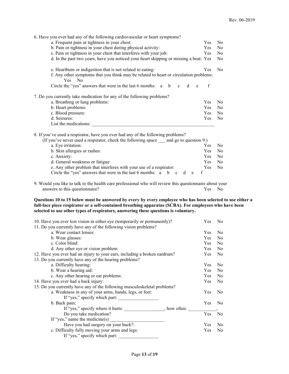6. Have you ever had any of the following cardiovascular or heart symptoms? a. Frequent pain or tightness in your chest: Yes No b. Pain or tightness in your chest during physical activity: Yes No c. Pain or tightness in your chest that interferes with your job: Yes No d. In the past two years, have you noticed your heart skipping or missing a beat: Yes No e. Heartburn or indigestion that is not related to eating: Yes No f. Any other symptoms that you think may be related to heart or circulation problems: Yes No Circle the "yes" answers that were in the last 6 months: a b c d e f 7. Do you currently take medication for any of the following problems? a. Breathing or lung problems: Yes No b. Heart problems: Yes No c. Blood pressure: Yes No d. Seizures: Yes No List the medications:

8. If you've used a respirator, have you ever had any of the following problems?

| (If you've never used a respirator, check the following space and go to question 9.)         |     |                |
|----------------------------------------------------------------------------------------------|-----|----------------|
| a. Eye irritation:                                                                           | Yes | N <sub>0</sub> |
| b. Skin allergies or rashes:                                                                 | Yes | N <sub>0</sub> |
| c. Anxiety:                                                                                  | Yes | No             |
| d. General weakness or fatigue:                                                              | Yes | N <sub>0</sub> |
| e. Any other problem that interferes with your use of a respirator:                          | Yes | N <sub>0</sub> |
| Circle the "yes" answers that were in the last 6 months: $a \quad b \quad c \quad d \quad e$ |     |                |

9. Would you like to talk to the health care professional who will review this questionnaire about your answers to this questionnaire? Yes No

**Questions 10 to 15 below must be answered by every by every employee who has been selected to use either a full-face piece respirator or a self-contained breathing apparatus (SCBA). For employees who have been selected to use other types of respirators, answering these questions is voluntary.**

| 10. Have you ever lost vision in either eye (temporarily or permanently)? |              | Yes        | N <sub>0</sub> |
|---------------------------------------------------------------------------|--------------|------------|----------------|
| 11. Do you currently have any of the following vision problems?           |              |            |                |
| a. Wear contact lenses:                                                   |              | Yes        | N <sub>0</sub> |
| b. Wear glasses:                                                          |              | Yes        | N <sub>0</sub> |
| c. Color blind:                                                           |              | Yes        | N <sub>0</sub> |
| d. Any other eye or vision problem:                                       |              | Yes        | N <sub>0</sub> |
| 12. Have you ever had an injury to your ears, including a broken eardrum? |              | <b>Yes</b> | N <sub>0</sub> |
| 13. Do you currently have any of the hearing problems?                    |              |            |                |
| a. Difficulty hearing:                                                    |              | Yes        | N <sub>0</sub> |
| b. Wear a hearing aid:                                                    |              | Yes        | N <sub>0</sub> |
| c. Any other hearing or ear problems:                                     |              | Yes        | N <sub>o</sub> |
| 14. Have you ever had a back injury:                                      |              | <b>Yes</b> | N <sub>0</sub> |
| 15. Do you currently have any of the following musculoskeletal problems?  |              |            |                |
| a. Weakness in any of your arms, hands, legs, or feet:                    |              | Yes        | N <sub>0</sub> |
| If "yes," specify which part:                                             |              |            |                |
| b. Back pain:                                                             |              | Yes        | N <sub>0</sub> |
| If "yes," specify where it hurts:                                         | , how often: |            |                |
| Do you take medication?                                                   |              | Yes        | N <sub>0</sub> |
| If "yes," name the medicine(s)                                            |              |            |                |
| Have you had surgery on your back?:                                       |              | Yes        | N <sub>0</sub> |
| c. Difficulty fully moving your arms and legs:                            |              | Yes        | N <sub>0</sub> |
| If "yes," specify which part:                                             |              |            |                |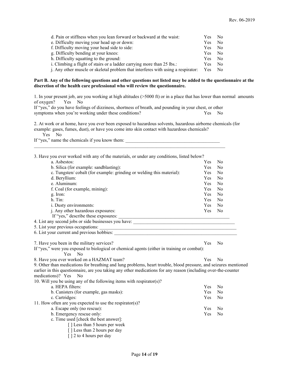| d. Pain or stiffness when you lean forward or backward at the waist:                    | Yes        | N <sub>0</sub> |
|-----------------------------------------------------------------------------------------|------------|----------------|
| e. Difficulty moving your head up or down:                                              | Yes        | N <sub>0</sub> |
| f. Difficulty moving your head side to side:                                            | Yes        | N <sub>0</sub> |
| g. Difficulty bending at your knees:                                                    | Yes        | N <sub>0</sub> |
| h. Difficulty squatting to the ground:                                                  | Yes        | No.            |
| i. Climbing a flight of stairs or a ladder carrying more than 25 lbs.:                  | Yes        | N <sub>0</sub> |
| <i>i.</i> Any other muscle or skeletal problem that interferes with using a respirator: | <b>Yes</b> | N <sub>0</sub> |

#### **Part B. Any of the following questions and other questions not listed may be added to the questionnaire at the discretion of the health care professional who will review the questionnaire.**

1. In your present job, are you working at high altitudes (>5000 ft) or in a place that has lower than normal amounts of oxygen? Yes No

If "yes," do you have feelings of dizziness, shortness of breath, and pounding in your chest, or other symptoms when you're working under these conditions? Yes No

2. At work or at home, have you ever been exposed to hazardous solvents, hazardous airborne chemicals (for example: gases, fumes, dust), or have you come into skin contact with hazardous chemicals?

Yes No

If "yes," name the chemicals if you know them:

 $\mathcal{L}_\mathcal{L} = \{ \mathcal{L}_\mathcal{L} = \{ \mathcal{L}_\mathcal{L} = \{ \mathcal{L}_\mathcal{L} = \{ \mathcal{L}_\mathcal{L} = \{ \mathcal{L}_\mathcal{L} = \{ \mathcal{L}_\mathcal{L} = \{ \mathcal{L}_\mathcal{L} = \{ \mathcal{L}_\mathcal{L} = \{ \mathcal{L}_\mathcal{L} = \{ \mathcal{L}_\mathcal{L} = \{ \mathcal{L}_\mathcal{L} = \{ \mathcal{L}_\mathcal{L} = \{ \mathcal{L}_\mathcal{L} = \{ \mathcal{L}_\mathcal{$ 3. Have you ever worked with any of the materials, or under any conditions, listed below? a. Asbestos: Yes No b. Silica (for example: sandblasting): Yes No<br>
c. Tungsten/cobalt (for example: grinding or welding this material): Yes No c. Tungsten/ cobalt (for example: grinding or welding this material): d. Beryllium: Yes No e. Aluminum: Yes No f. Coal (for example, mining): Yes No g. Iron: Yes No h. Tin: Yes No i. Dusty environments: Yes No j. Any other hazardous exposures: Yes No If "yes," describe these exposures: \_\_\_\_\_\_\_\_\_\_\_\_\_\_\_\_\_\_\_\_\_\_\_\_\_\_\_\_\_\_\_\_\_\_\_\_\_\_\_\_\_\_\_\_\_\_\_ 4. List any second jobs or side businesses you have: 5. List your previous occupations: 6. List your current and previous hobbies: \_\_\_\_\_\_\_\_\_\_\_\_\_\_\_\_\_\_\_\_\_\_\_\_\_\_\_\_\_\_\_\_\_\_\_\_\_\_\_\_\_\_\_\_\_\_\_\_\_\_\_\_ 7. Have you been in the military services? Yes No If "yes," were you exposed to biological or chemical agents (either in training or combat): Yes No 8. Have you ever worked on a HAZMAT team? Yes No 9. Other than medications for breathing and lung problems, heart trouble, blood pressure, and seizures mentioned earlier in this questionnaire, are you taking any other medications for any reason (including over-the-counter medications)? Yes No 10. Will you be using any of the following items with respirator(s)? a. HEPA filters: Yes No b. Canisters (for example, gas masks): Yes No c. Cartridges: Yes No 11. How often are you expected to use the respirator(s)? a. Escape only (no rescue): Yes No b. Emergency rescue only: Yes No c. Time used [check the best answer]: [ ] Less than 5 hours per week [ ] Less than 2 hours per day [  $\vert$  2 to 4 hours per day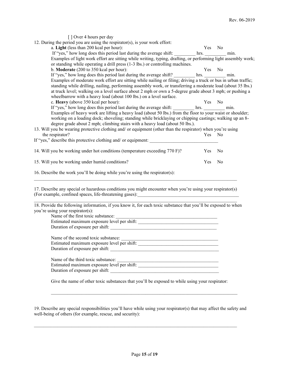| [] Over 4 hours per day                                                                                                                                                                                                                                                                                                                                                                                                                                                                                                                                                                                                                                                                                                                                                                                                                                                                                                                                                                                                                                                                                                                                                                                                                                                                                                                                                                                                                                                                                                                                                                                                                                                                                                                                                                                                                                                                                                                                                                                                                                                                                                                                                                                                                                                     |     |                |  |
|-----------------------------------------------------------------------------------------------------------------------------------------------------------------------------------------------------------------------------------------------------------------------------------------------------------------------------------------------------------------------------------------------------------------------------------------------------------------------------------------------------------------------------------------------------------------------------------------------------------------------------------------------------------------------------------------------------------------------------------------------------------------------------------------------------------------------------------------------------------------------------------------------------------------------------------------------------------------------------------------------------------------------------------------------------------------------------------------------------------------------------------------------------------------------------------------------------------------------------------------------------------------------------------------------------------------------------------------------------------------------------------------------------------------------------------------------------------------------------------------------------------------------------------------------------------------------------------------------------------------------------------------------------------------------------------------------------------------------------------------------------------------------------------------------------------------------------------------------------------------------------------------------------------------------------------------------------------------------------------------------------------------------------------------------------------------------------------------------------------------------------------------------------------------------------------------------------------------------------------------------------------------------------|-----|----------------|--|
|                                                                                                                                                                                                                                                                                                                                                                                                                                                                                                                                                                                                                                                                                                                                                                                                                                                                                                                                                                                                                                                                                                                                                                                                                                                                                                                                                                                                                                                                                                                                                                                                                                                                                                                                                                                                                                                                                                                                                                                                                                                                                                                                                                                                                                                                             |     |                |  |
|                                                                                                                                                                                                                                                                                                                                                                                                                                                                                                                                                                                                                                                                                                                                                                                                                                                                                                                                                                                                                                                                                                                                                                                                                                                                                                                                                                                                                                                                                                                                                                                                                                                                                                                                                                                                                                                                                                                                                                                                                                                                                                                                                                                                                                                                             |     |                |  |
|                                                                                                                                                                                                                                                                                                                                                                                                                                                                                                                                                                                                                                                                                                                                                                                                                                                                                                                                                                                                                                                                                                                                                                                                                                                                                                                                                                                                                                                                                                                                                                                                                                                                                                                                                                                                                                                                                                                                                                                                                                                                                                                                                                                                                                                                             |     |                |  |
|                                                                                                                                                                                                                                                                                                                                                                                                                                                                                                                                                                                                                                                                                                                                                                                                                                                                                                                                                                                                                                                                                                                                                                                                                                                                                                                                                                                                                                                                                                                                                                                                                                                                                                                                                                                                                                                                                                                                                                                                                                                                                                                                                                                                                                                                             |     |                |  |
|                                                                                                                                                                                                                                                                                                                                                                                                                                                                                                                                                                                                                                                                                                                                                                                                                                                                                                                                                                                                                                                                                                                                                                                                                                                                                                                                                                                                                                                                                                                                                                                                                                                                                                                                                                                                                                                                                                                                                                                                                                                                                                                                                                                                                                                                             |     |                |  |
|                                                                                                                                                                                                                                                                                                                                                                                                                                                                                                                                                                                                                                                                                                                                                                                                                                                                                                                                                                                                                                                                                                                                                                                                                                                                                                                                                                                                                                                                                                                                                                                                                                                                                                                                                                                                                                                                                                                                                                                                                                                                                                                                                                                                                                                                             |     |                |  |
|                                                                                                                                                                                                                                                                                                                                                                                                                                                                                                                                                                                                                                                                                                                                                                                                                                                                                                                                                                                                                                                                                                                                                                                                                                                                                                                                                                                                                                                                                                                                                                                                                                                                                                                                                                                                                                                                                                                                                                                                                                                                                                                                                                                                                                                                             |     |                |  |
|                                                                                                                                                                                                                                                                                                                                                                                                                                                                                                                                                                                                                                                                                                                                                                                                                                                                                                                                                                                                                                                                                                                                                                                                                                                                                                                                                                                                                                                                                                                                                                                                                                                                                                                                                                                                                                                                                                                                                                                                                                                                                                                                                                                                                                                                             |     |                |  |
|                                                                                                                                                                                                                                                                                                                                                                                                                                                                                                                                                                                                                                                                                                                                                                                                                                                                                                                                                                                                                                                                                                                                                                                                                                                                                                                                                                                                                                                                                                                                                                                                                                                                                                                                                                                                                                                                                                                                                                                                                                                                                                                                                                                                                                                                             |     |                |  |
|                                                                                                                                                                                                                                                                                                                                                                                                                                                                                                                                                                                                                                                                                                                                                                                                                                                                                                                                                                                                                                                                                                                                                                                                                                                                                                                                                                                                                                                                                                                                                                                                                                                                                                                                                                                                                                                                                                                                                                                                                                                                                                                                                                                                                                                                             |     |                |  |
|                                                                                                                                                                                                                                                                                                                                                                                                                                                                                                                                                                                                                                                                                                                                                                                                                                                                                                                                                                                                                                                                                                                                                                                                                                                                                                                                                                                                                                                                                                                                                                                                                                                                                                                                                                                                                                                                                                                                                                                                                                                                                                                                                                                                                                                                             |     |                |  |
|                                                                                                                                                                                                                                                                                                                                                                                                                                                                                                                                                                                                                                                                                                                                                                                                                                                                                                                                                                                                                                                                                                                                                                                                                                                                                                                                                                                                                                                                                                                                                                                                                                                                                                                                                                                                                                                                                                                                                                                                                                                                                                                                                                                                                                                                             |     |                |  |
|                                                                                                                                                                                                                                                                                                                                                                                                                                                                                                                                                                                                                                                                                                                                                                                                                                                                                                                                                                                                                                                                                                                                                                                                                                                                                                                                                                                                                                                                                                                                                                                                                                                                                                                                                                                                                                                                                                                                                                                                                                                                                                                                                                                                                                                                             |     |                |  |
|                                                                                                                                                                                                                                                                                                                                                                                                                                                                                                                                                                                                                                                                                                                                                                                                                                                                                                                                                                                                                                                                                                                                                                                                                                                                                                                                                                                                                                                                                                                                                                                                                                                                                                                                                                                                                                                                                                                                                                                                                                                                                                                                                                                                                                                                             |     |                |  |
|                                                                                                                                                                                                                                                                                                                                                                                                                                                                                                                                                                                                                                                                                                                                                                                                                                                                                                                                                                                                                                                                                                                                                                                                                                                                                                                                                                                                                                                                                                                                                                                                                                                                                                                                                                                                                                                                                                                                                                                                                                                                                                                                                                                                                                                                             |     |                |  |
|                                                                                                                                                                                                                                                                                                                                                                                                                                                                                                                                                                                                                                                                                                                                                                                                                                                                                                                                                                                                                                                                                                                                                                                                                                                                                                                                                                                                                                                                                                                                                                                                                                                                                                                                                                                                                                                                                                                                                                                                                                                                                                                                                                                                                                                                             |     |                |  |
|                                                                                                                                                                                                                                                                                                                                                                                                                                                                                                                                                                                                                                                                                                                                                                                                                                                                                                                                                                                                                                                                                                                                                                                                                                                                                                                                                                                                                                                                                                                                                                                                                                                                                                                                                                                                                                                                                                                                                                                                                                                                                                                                                                                                                                                                             |     |                |  |
|                                                                                                                                                                                                                                                                                                                                                                                                                                                                                                                                                                                                                                                                                                                                                                                                                                                                                                                                                                                                                                                                                                                                                                                                                                                                                                                                                                                                                                                                                                                                                                                                                                                                                                                                                                                                                                                                                                                                                                                                                                                                                                                                                                                                                                                                             |     |                |  |
|                                                                                                                                                                                                                                                                                                                                                                                                                                                                                                                                                                                                                                                                                                                                                                                                                                                                                                                                                                                                                                                                                                                                                                                                                                                                                                                                                                                                                                                                                                                                                                                                                                                                                                                                                                                                                                                                                                                                                                                                                                                                                                                                                                                                                                                                             |     |                |  |
| 14. Will you be working under hot conditions (temperature exceeding 770 F)?                                                                                                                                                                                                                                                                                                                                                                                                                                                                                                                                                                                                                                                                                                                                                                                                                                                                                                                                                                                                                                                                                                                                                                                                                                                                                                                                                                                                                                                                                                                                                                                                                                                                                                                                                                                                                                                                                                                                                                                                                                                                                                                                                                                                 | Yes | N <sub>0</sub> |  |
|                                                                                                                                                                                                                                                                                                                                                                                                                                                                                                                                                                                                                                                                                                                                                                                                                                                                                                                                                                                                                                                                                                                                                                                                                                                                                                                                                                                                                                                                                                                                                                                                                                                                                                                                                                                                                                                                                                                                                                                                                                                                                                                                                                                                                                                                             | Yes | N <sub>0</sub> |  |
| 16. Describe the work you'll be doing while you're using the respirator(s):                                                                                                                                                                                                                                                                                                                                                                                                                                                                                                                                                                                                                                                                                                                                                                                                                                                                                                                                                                                                                                                                                                                                                                                                                                                                                                                                                                                                                                                                                                                                                                                                                                                                                                                                                                                                                                                                                                                                                                                                                                                                                                                                                                                                 |     |                |  |
|                                                                                                                                                                                                                                                                                                                                                                                                                                                                                                                                                                                                                                                                                                                                                                                                                                                                                                                                                                                                                                                                                                                                                                                                                                                                                                                                                                                                                                                                                                                                                                                                                                                                                                                                                                                                                                                                                                                                                                                                                                                                                                                                                                                                                                                                             |     |                |  |
|                                                                                                                                                                                                                                                                                                                                                                                                                                                                                                                                                                                                                                                                                                                                                                                                                                                                                                                                                                                                                                                                                                                                                                                                                                                                                                                                                                                                                                                                                                                                                                                                                                                                                                                                                                                                                                                                                                                                                                                                                                                                                                                                                                                                                                                                             |     |                |  |
|                                                                                                                                                                                                                                                                                                                                                                                                                                                                                                                                                                                                                                                                                                                                                                                                                                                                                                                                                                                                                                                                                                                                                                                                                                                                                                                                                                                                                                                                                                                                                                                                                                                                                                                                                                                                                                                                                                                                                                                                                                                                                                                                                                                                                                                                             |     |                |  |
|                                                                                                                                                                                                                                                                                                                                                                                                                                                                                                                                                                                                                                                                                                                                                                                                                                                                                                                                                                                                                                                                                                                                                                                                                                                                                                                                                                                                                                                                                                                                                                                                                                                                                                                                                                                                                                                                                                                                                                                                                                                                                                                                                                                                                                                                             |     |                |  |
|                                                                                                                                                                                                                                                                                                                                                                                                                                                                                                                                                                                                                                                                                                                                                                                                                                                                                                                                                                                                                                                                                                                                                                                                                                                                                                                                                                                                                                                                                                                                                                                                                                                                                                                                                                                                                                                                                                                                                                                                                                                                                                                                                                                                                                                                             |     |                |  |
| 12. During the period you are using the respirator(s), is your work effort:<br>a. Light (less than 200 kcal per hour):<br>Yes<br>N <sub>0</sub><br>If "yes," how long does this period last during the average shift: _________ hrs. ______<br>min.<br>Examples of light work effort are sitting while writing, typing, drafting, or performing light assembly work;<br>or standing while operating a drill press (1-3 lbs.) or controlling machines.<br>N <sub>o</sub><br>b. Moderate (200 to 350 kcal per hour):<br>Yes<br>If "yes," how long does this period last during the average shift? __________ hrs. __________ min.<br>Examples of moderate work effort are sitting while nailing or filing; driving a truck or bus in urban traffic;<br>standing while drilling, nailing, performing assembly work, or transferring a moderate load (about 35 lbs.)<br>at truck level; walking on a level surface about 2 mph or own a 5-degree grade about 3 mph; or pushing a<br>wheelbarrow with a heavy load (about 100 lbs.) on a level surface.<br>c. Heavy (above 350 kcal per hour):<br>Yes<br>N <sub>0</sub><br>If "yes," how long does this period last during the average shift: __________ hrs. _________________<br>min.<br>Examples of heavy work are lifting a heavy load (about 50 lbs.) from the floor to your waist or shoulder;<br>working on a loading dock; shoveling; standing while bricklaying or chipping castings; walking up an 8-<br>degree grade about 2 mph; climbing stairs with a heavy load (about 50 lbs.).<br>13. Will you be wearing protective clothing and/ or equipment (other than the respirator) when you're using<br>the respirator?<br>Yes No<br>If "yes," describe this protective clothing and/ or equipment: _________________<br>15. Will you be working under humid conditions?<br>17. Describe any special or hazardous conditions you might encounter when you're using your respirator(s)<br>18. Provide the following information, if you know it, for each toxic substance that you'll be exposed to when<br>you're using your respirator(s):<br>Name of the first toxic substance:<br>Estimated maximum exposure level per shift:<br>Name of the second toxic substance:<br>Estimated maximum exposure level per shift: |     |                |  |
|                                                                                                                                                                                                                                                                                                                                                                                                                                                                                                                                                                                                                                                                                                                                                                                                                                                                                                                                                                                                                                                                                                                                                                                                                                                                                                                                                                                                                                                                                                                                                                                                                                                                                                                                                                                                                                                                                                                                                                                                                                                                                                                                                                                                                                                                             |     |                |  |
|                                                                                                                                                                                                                                                                                                                                                                                                                                                                                                                                                                                                                                                                                                                                                                                                                                                                                                                                                                                                                                                                                                                                                                                                                                                                                                                                                                                                                                                                                                                                                                                                                                                                                                                                                                                                                                                                                                                                                                                                                                                                                                                                                                                                                                                                             |     |                |  |
|                                                                                                                                                                                                                                                                                                                                                                                                                                                                                                                                                                                                                                                                                                                                                                                                                                                                                                                                                                                                                                                                                                                                                                                                                                                                                                                                                                                                                                                                                                                                                                                                                                                                                                                                                                                                                                                                                                                                                                                                                                                                                                                                                                                                                                                                             |     |                |  |
| Duration of exposure per shift:                                                                                                                                                                                                                                                                                                                                                                                                                                                                                                                                                                                                                                                                                                                                                                                                                                                                                                                                                                                                                                                                                                                                                                                                                                                                                                                                                                                                                                                                                                                                                                                                                                                                                                                                                                                                                                                                                                                                                                                                                                                                                                                                                                                                                                             |     |                |  |

| Name of the third toxic substance:          |  |
|---------------------------------------------|--|
| Estimated maximum exposure level per shift: |  |
| Duration of exposure per shift:             |  |

Give the name of other toxic substances that you'll be exposed to while using your respirator:

 $\mathcal{L}_\text{max}$ 

19. Describe any special responsibilities you'll have while using your respirator(s) that may affect the safety and well-being of others (for example, rescue, and security):

 $\mathcal{L}_\text{max}$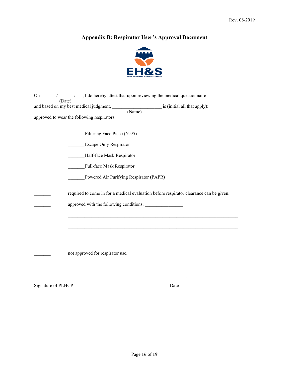#### **Appendix B: Respirator User's Approval Document**



On / / , I do hereby attest that upon reviewing the medical questionnaire (Date) and based on my best medical judgment, \_\_\_\_\_\_\_\_\_\_\_\_\_\_\_\_\_\_\_\_\_ is (initial all that apply): (Name) approved to wear the following respirators:

Filtering Face Piece (N-95)

Escape Only Respirator

\_\_\_\_\_\_\_Half-face Mask Respirator

\_\_\_\_\_\_\_Full-face Mask Respirator

Powered Air Purifying Respirator (PAPR)

 $\mathcal{L}_\text{max}$  , and the set of the set of the set of the set of the set of the set of the set of the set of the set of the set of the set of the set of the set of the set of the set of the set of the set of the set of the

required to come in for a medical evaluation before respirator clearance can be given.

 $\mathcal{L}_\text{max}$ 

\_\_\_\_\_\_\_ approved with the following conditions: \_\_\_\_\_\_\_\_\_\_\_\_\_\_\_\_

not approved for respirator use.

Signature of PLHCP Date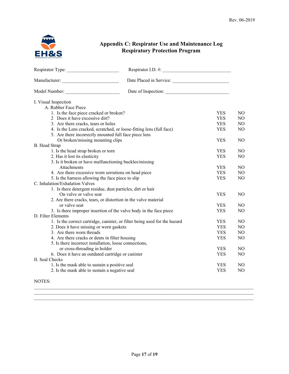

## **Appendix C: Respirator Use and Maintenance Log Respiratory Protection Program**

|                                                                                           | Date Placed in Service:                                                    |            |                |  |  |  |
|-------------------------------------------------------------------------------------------|----------------------------------------------------------------------------|------------|----------------|--|--|--|
|                                                                                           |                                                                            |            |                |  |  |  |
| I. Visual Inspection                                                                      |                                                                            |            |                |  |  |  |
| A. Rubber Face Piece                                                                      |                                                                            |            |                |  |  |  |
| 1. Is the face piece cracked or broken?                                                   |                                                                            | <b>YES</b> | NO             |  |  |  |
| 2 Does it have excessive dirt?                                                            |                                                                            | <b>YES</b> | NO             |  |  |  |
| 3. Are there cracks, tears or holes                                                       |                                                                            | <b>YES</b> | N <sub>O</sub> |  |  |  |
|                                                                                           | 4. Is the Lens cracked, scratched, or loose-fitting lens (full face)       | <b>YES</b> | NO             |  |  |  |
| 5. Are there incorrectly mounted full face piece lens                                     |                                                                            |            |                |  |  |  |
| Or broken/missing mounting clips                                                          |                                                                            | <b>YES</b> | NO             |  |  |  |
| <b>B.</b> Head Strap                                                                      |                                                                            |            |                |  |  |  |
| 1. Is the head strap broken or torn                                                       |                                                                            | <b>YES</b> | NO             |  |  |  |
| 2. Has it lost its elasticity                                                             |                                                                            | <b>YES</b> | NO             |  |  |  |
| 3. Is it broken or have malfunctioning buckles/missing                                    |                                                                            |            |                |  |  |  |
| Attachments                                                                               |                                                                            | <b>YES</b> | N <sub>O</sub> |  |  |  |
| 4. Are there excessive worn serrations on head piece                                      |                                                                            | <b>YES</b> | N <sub>O</sub> |  |  |  |
| 5. Is the harness allowing the face piece to slip                                         |                                                                            | <b>YES</b> | NO             |  |  |  |
| C. Inhalation/Exhalation Valves                                                           |                                                                            |            |                |  |  |  |
| 1. Is there detergent residue, dust particles, dirt or hair                               |                                                                            |            |                |  |  |  |
| On valve or valve seat<br>2. Are there cracks, tears, or distortion in the valve material |                                                                            | <b>YES</b> | N <sub>O</sub> |  |  |  |
| or valve seat                                                                             |                                                                            | <b>YES</b> | NO             |  |  |  |
|                                                                                           | 3. Is there improper insertion of the valve body in the face piece         | <b>YES</b> | NO             |  |  |  |
| D. Filter Elements                                                                        |                                                                            |            |                |  |  |  |
|                                                                                           | 1. Is the correct cartridge, canister, or filter being used for the hazard | <b>YES</b> | NO             |  |  |  |
| 2. Does it have missing or worn gaskets                                                   |                                                                            | <b>YES</b> | NO             |  |  |  |
| 3. Are there worn threads                                                                 |                                                                            | <b>YES</b> | NO             |  |  |  |
| 4. Are there cracks or dents in filter housing                                            |                                                                            | <b>YES</b> | NO             |  |  |  |
| 5. Is there incorrect installation, loose connections,                                    |                                                                            |            |                |  |  |  |
| or cross-threading in holder                                                              |                                                                            | <b>YES</b> | NO             |  |  |  |
| 6. Does it have an outdated cartridge or canister                                         |                                                                            | <b>YES</b> | NO             |  |  |  |
| II. Seal Checks                                                                           |                                                                            |            |                |  |  |  |
| 1. Is the mask able to sustain a positive seal                                            |                                                                            | <b>YES</b> | N <sub>O</sub> |  |  |  |
| 2. Is the mask able to sustain a negative seal                                            |                                                                            | <b>YES</b> | NO             |  |  |  |
|                                                                                           |                                                                            |            |                |  |  |  |

NOTES:

\_\_\_\_\_\_\_\_\_\_\_\_\_\_\_\_\_\_\_\_\_\_\_\_\_\_\_\_\_\_\_\_\_\_\_\_\_\_\_\_\_\_\_\_\_\_\_\_\_\_\_\_\_\_\_\_\_\_\_\_\_\_\_\_\_\_\_\_\_\_\_\_\_\_\_\_\_\_\_\_\_\_\_\_\_\_\_\_\_\_\_\_\_  $\mathcal{L}_\mathcal{L} = \{ \mathcal{L}_\mathcal{L} = \{ \mathcal{L}_\mathcal{L} = \{ \mathcal{L}_\mathcal{L} = \{ \mathcal{L}_\mathcal{L} = \{ \mathcal{L}_\mathcal{L} = \{ \mathcal{L}_\mathcal{L} = \{ \mathcal{L}_\mathcal{L} = \{ \mathcal{L}_\mathcal{L} = \{ \mathcal{L}_\mathcal{L} = \{ \mathcal{L}_\mathcal{L} = \{ \mathcal{L}_\mathcal{L} = \{ \mathcal{L}_\mathcal{L} = \{ \mathcal{L}_\mathcal{L} = \{ \mathcal{L}_\mathcal{$  $\mathcal{L}_\mathcal{L} = \{ \mathcal{L}_\mathcal{L} = \{ \mathcal{L}_\mathcal{L} = \{ \mathcal{L}_\mathcal{L} = \{ \mathcal{L}_\mathcal{L} = \{ \mathcal{L}_\mathcal{L} = \{ \mathcal{L}_\mathcal{L} = \{ \mathcal{L}_\mathcal{L} = \{ \mathcal{L}_\mathcal{L} = \{ \mathcal{L}_\mathcal{L} = \{ \mathcal{L}_\mathcal{L} = \{ \mathcal{L}_\mathcal{L} = \{ \mathcal{L}_\mathcal{L} = \{ \mathcal{L}_\mathcal{L} = \{ \mathcal{L}_\mathcal{$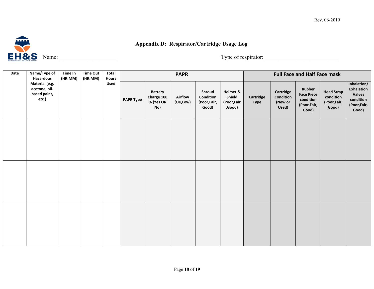

## **Appendix D: Respirator/Cartridge Usage Log**

| Date | Name/Type of<br>Time In<br><b>Hazardous</b><br>(HR:MM)   |  | <b>Time Out</b><br>(HR:MM) | <b>Total</b><br>Hours | <b>PAPR</b>      |                                                  |                            |                                             |                                            | <b>Full Face and Half Face mask</b> |                                            |                                                                  |                                                        |                                                                                 |
|------|----------------------------------------------------------|--|----------------------------|-----------------------|------------------|--------------------------------------------------|----------------------------|---------------------------------------------|--------------------------------------------|-------------------------------------|--------------------------------------------|------------------------------------------------------------------|--------------------------------------------------------|---------------------------------------------------------------------------------|
|      | Material (e.g.<br>acetone, oil-<br>based paint,<br>etc.) |  |                            | <b>Used</b>           | <b>PAPR Type</b> | <b>Battery</b><br>Charge 100<br>% (Yes OR<br>No) | <b>Airflow</b><br>(OK,Low) | Shroud<br>Condition<br>(Poor,Fair,<br>Good) | Helmet &<br>Shield<br>(Poor,Fair<br>,Good) | Cartridge<br><b>Type</b>            | Cartridge<br>Condition<br>(New or<br>Used) | Rubber<br><b>Face Piece</b><br>condition<br>(Poor,Fair,<br>Good) | <b>Head Strap</b><br>condition<br>(Poor,Fair,<br>Good) | Inhalation/<br>Exhalation<br><b>Valves</b><br>condition<br>(Poor,Fair,<br>Good) |
|      |                                                          |  |                            |                       |                  |                                                  |                            |                                             |                                            |                                     |                                            |                                                                  |                                                        |                                                                                 |
|      |                                                          |  |                            |                       |                  |                                                  |                            |                                             |                                            |                                     |                                            |                                                                  |                                                        |                                                                                 |
|      |                                                          |  |                            |                       |                  |                                                  |                            |                                             |                                            |                                     |                                            |                                                                  |                                                        |                                                                                 |
|      |                                                          |  |                            |                       |                  |                                                  |                            |                                             |                                            |                                     |                                            |                                                                  |                                                        |                                                                                 |
|      |                                                          |  |                            |                       |                  |                                                  |                            |                                             |                                            |                                     |                                            |                                                                  |                                                        |                                                                                 |
|      |                                                          |  |                            |                       |                  |                                                  |                            |                                             |                                            |                                     |                                            |                                                                  |                                                        |                                                                                 |
|      |                                                          |  |                            |                       |                  |                                                  |                            |                                             |                                            |                                     |                                            |                                                                  |                                                        |                                                                                 |
|      |                                                          |  |                            |                       |                  |                                                  |                            |                                             |                                            |                                     |                                            |                                                                  |                                                        |                                                                                 |
|      |                                                          |  |                            |                       |                  |                                                  |                            |                                             |                                            |                                     |                                            |                                                                  |                                                        |                                                                                 |
|      |                                                          |  |                            |                       |                  |                                                  |                            |                                             |                                            |                                     |                                            |                                                                  |                                                        |                                                                                 |
|      |                                                          |  |                            |                       |                  |                                                  |                            |                                             |                                            |                                     |                                            |                                                                  |                                                        |                                                                                 |